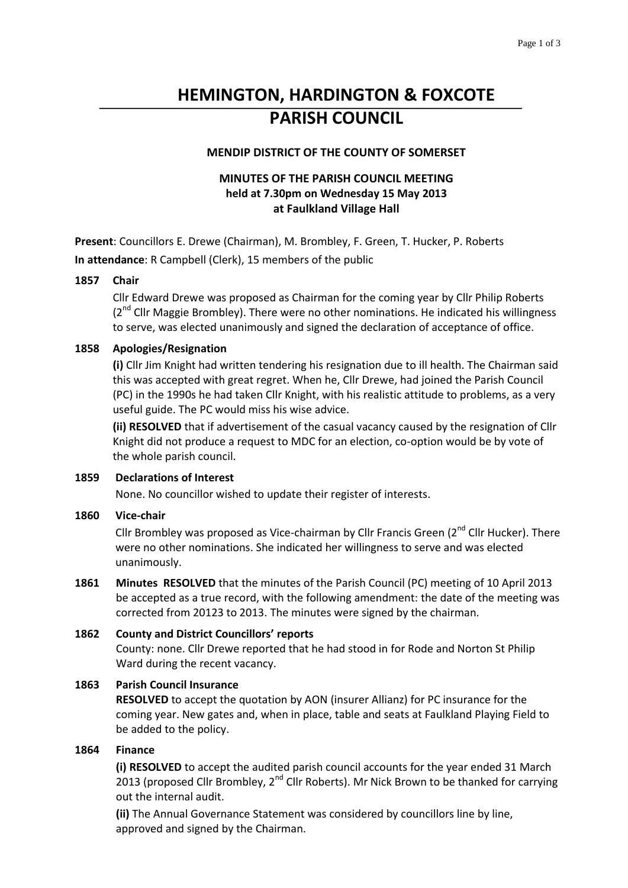# **HEMINGTON, HARDINGTON & FOXCOTE PARISH COUNCIL**

## **MENDIP DISTRICT OF THE COUNTY OF SOMERSET**

# **MINUTES OF THE PARISH COUNCIL MEETING held at 7.30pm on Wednesday 15 May 2013 at Faulkland Village Hall**

**Present**: Councillors E. Drewe (Chairman), M. Brombley, F. Green, T. Hucker, P. Roberts **In attendance**: R Campbell (Clerk), 15 members of the public

## **1857 Chair**

Cllr Edward Drewe was proposed as Chairman for the coming year by Cllr Philip Roberts  $(2^{nd}$  Cllr Maggie Brombley). There were no other nominations. He indicated his willingness to serve, was elected unanimously and signed the declaration of acceptance of office.

#### **1858 Apologies/Resignation**

**(i)** Cllr Jim Knight had written tendering his resignation due to ill health. The Chairman said this was accepted with great regret. When he, Cllr Drewe, had joined the Parish Council (PC) in the 1990s he had taken Cllr Knight, with his realistic attitude to problems, as a very useful guide. The PC would miss his wise advice.

**(ii) RESOLVED** that if advertisement of the casual vacancy caused by the resignation of Cllr Knight did not produce a request to MDC for an election, co-option would be by vote of the whole parish council.

#### **1859 Declarations of Interest**

None. No councillor wished to update their register of interests.

#### **1860 Vice-chair**

Cllr Brombley was proposed as Vice-chairman by Cllr Francis Green ( $2^{nd}$  Cllr Hucker). There were no other nominations. She indicated her willingness to serve and was elected unanimously.

**1861 Minutes RESOLVED** that the minutes of the Parish Council (PC) meeting of 10 April 2013 be accepted as a true record, with the following amendment: the date of the meeting was corrected from 20123 to 2013. The minutes were signed by the chairman.

## **1862 County and District Councillors' reports** County: none. Cllr Drewe reported that he had stood in for Rode and Norton St Philip Ward during the recent vacancy.

#### **1863 Parish Council Insurance**

**RESOLVED** to accept the quotation by AON (insurer Allianz) for PC insurance for the coming year. New gates and, when in place, table and seats at Faulkland Playing Field to be added to the policy.

#### **1864 Finance**

**(i) RESOLVED** to accept the audited parish council accounts for the year ended 31 March 2013 (proposed Cllr Brombley,  $2^{nd}$  Cllr Roberts). Mr Nick Brown to be thanked for carrying out the internal audit.

**(ii)** The Annual Governance Statement was considered by councillors line by line, approved and signed by the Chairman.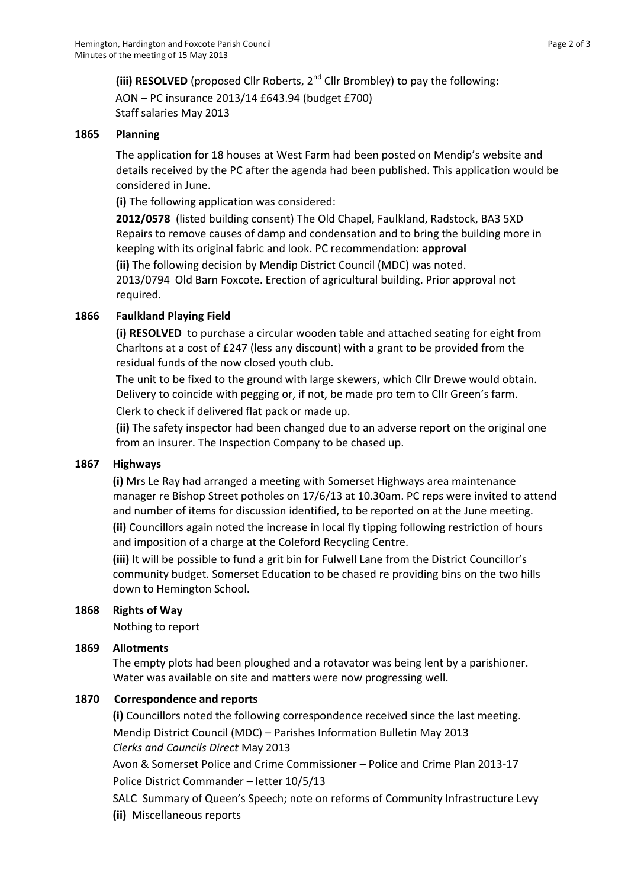**(iii) RESOLVED** (proposed Cllr Roberts, 2nd Cllr Brombley) to pay the following: AON – PC insurance 2013/14 £643.94 (budget £700) Staff salaries May 2013

### **1865 Planning**

The application for 18 houses at West Farm had been posted on Mendip's website and details received by the PC after the agenda had been published. This application would be considered in June.

**(i)** The following application was considered:

**2012/0578** (listed building consent) The Old Chapel, Faulkland, Radstock, BA3 5XD Repairs to remove causes of damp and condensation and to bring the building more in keeping with its original fabric and look. PC recommendation: **approval**

**(ii)** The following decision by Mendip District Council (MDC) was noted. 2013/0794 Old Barn Foxcote. Erection of agricultural building. Prior approval not required.

#### **1866 Faulkland Playing Field**

**(i) RESOLVED** to purchase a circular wooden table and attached seating for eight from Charltons at a cost of £247 (less any discount) with a grant to be provided from the residual funds of the now closed youth club.

The unit to be fixed to the ground with large skewers, which Cllr Drewe would obtain. Delivery to coincide with pegging or, if not, be made pro tem to Cllr Green's farm. Clerk to check if delivered flat pack or made up.

**(ii)** The safety inspector had been changed due to an adverse report on the original one from an insurer. The Inspection Company to be chased up.

## **1867 Highways**

**(i)** Mrs Le Ray had arranged a meeting with Somerset Highways area maintenance manager re Bishop Street potholes on 17/6/13 at 10.30am. PC reps were invited to attend and number of items for discussion identified, to be reported on at the June meeting. **(ii)** Councillors again noted the increase in local fly tipping following restriction of hours

and imposition of a charge at the Coleford Recycling Centre.

**(iii)** It will be possible to fund a grit bin for Fulwell Lane from the District Councillor's community budget. Somerset Education to be chased re providing bins on the two hills down to Hemington School.

#### **1868 Rights of Way**

Nothing to report

#### **1869 Allotments**

The empty plots had been ploughed and a rotavator was being lent by a parishioner. Water was available on site and matters were now progressing well.

## **1870 Correspondence and reports**

**(i)** Councillors noted the following correspondence received since the last meeting. Mendip District Council (MDC) – Parishes Information Bulletin May 2013 *Clerks and Councils Direct* May 2013

Avon & Somerset Police and Crime Commissioner – Police and Crime Plan 2013-17 Police District Commander – letter 10/5/13

SALC Summary of Queen's Speech; note on reforms of Community Infrastructure Levy

**(ii)** Miscellaneous reports